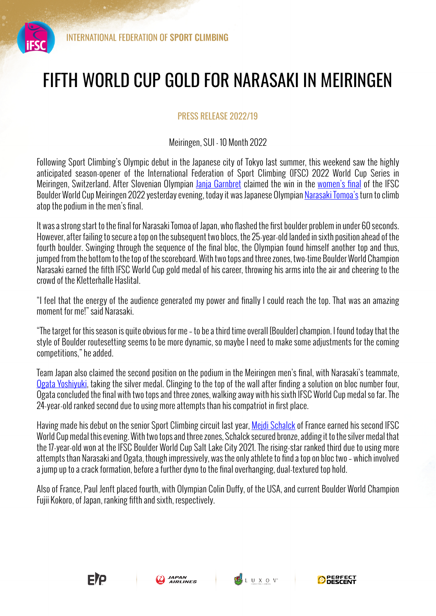

## FIFTH WORLD CUP GOLD FOR NARASAKI IN MEIRINGEN

## PRESS RELEASE 2022/19

## Meiringen, SUI - 10 Month 2022

Following Sport Climbing's Olympic debut in the Japanese city of Tokyo last summer, this weekend saw the highly anticipated season-opener of the International Federation of Sport Climbing (IFSC) 2022 World Cup Series in Meiringen, Switzerland. After Slovenian Olympian Janja Garnbret claimed the win in the women's final of the IFSC Boulder World Cup Meiringen 2022 yesterday evening, today it was Japanese Olympian Narasaki Tomoa's turn to climb atop the podium in the men's final.

It was a strong start to the final for Narasaki Tomoa of Japan, who flashed the first boulder problem in under 60 seconds. However, after failing to secure a top on the subsequent two blocs, the 25-year-old landed in sixth position ahead of the fourth boulder. Swinging through the sequence of the final bloc, the Olympian found himself another top and thus, jumped from the bottom to the top of the scoreboard. With two tops and three zones, two-time Boulder World Champion Narasaki earned the fifth IFSC World Cup gold medal of his career, throwing his arms into the air and cheering to the crowd of the Kletterhalle Haslital.

"I feel that the energy of the audience generated my power and finally I could reach the top. That was an amazing moment for me!" said Narasaki.

"The target for this season is quite obvious for me – to be a third time overall [Boulder] champion. I found today that the style of Boulder routesetting seems to be more dynamic, so maybe I need to make some adjustments for the coming competitions," he added.

Team Japan also claimed the second position on the podium in the Meiringen men's final, with Narasaki's teammate, Ogata Yoshiyuki, taking the silver medal. Clinging to the top of the wall after finding a solution on bloc number four, Ogata concluded the final with two tops and three zones, walking away with his sixth IFSC World Cup medal so far. The 24-year-old ranked second due to using more attempts than his compatriot in first place.

Having made his debut on the senior Sport Climbing circuit last year, Mejdi Schalck of France earned his second IFSC World Cup medal this evening. With two tops and three zones, Schalck secured bronze, adding it to the silver medal that the 17-year-old won at the IFSC Boulder World Cup Salt Lake City 2021. The rising-star ranked third due to using more attempts than Narasaki and Ogata, though impressively, was the only athlete to find a top on bloc two – which involved a jump up to a crack formation, before a further dyno to the final overhanging, dual-textured top hold.

Also of France, Paul Jenft placed fourth, with Olympian Colin Duffy, of the USA, and current Boulder World Champion Fujii Kokoro, of Japan, ranking fifth and sixth, respectively.